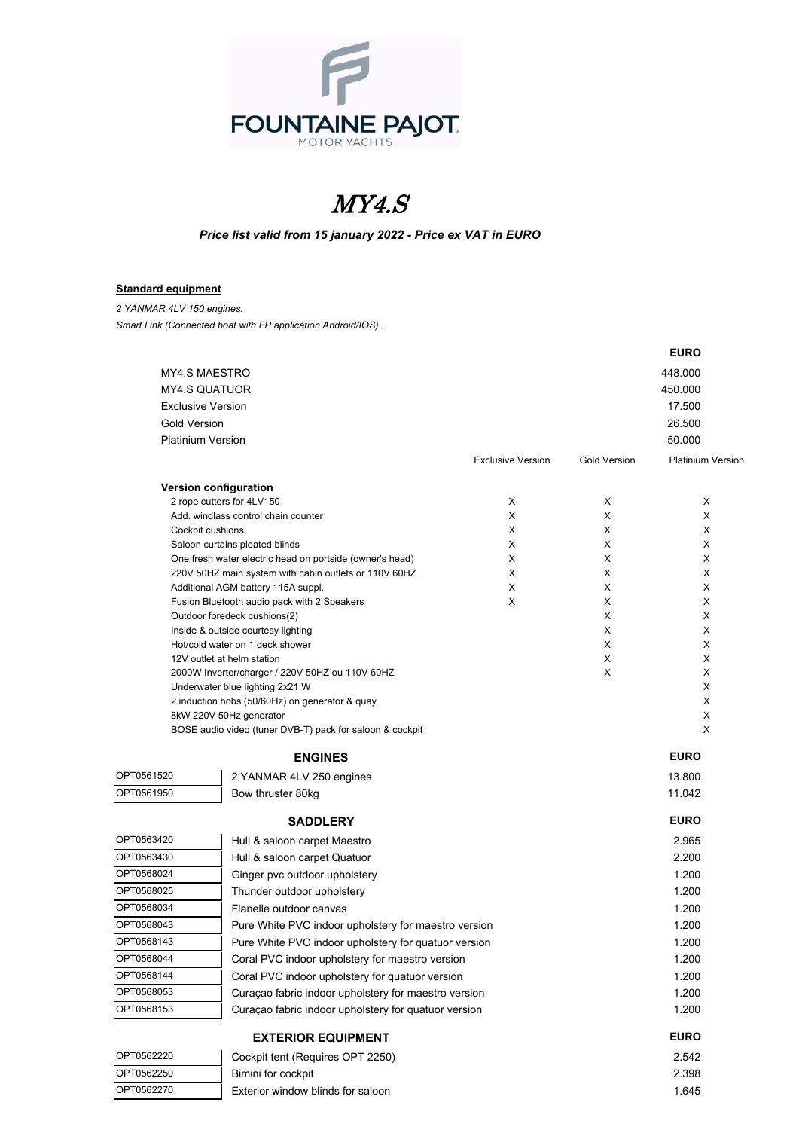

## MY4.S

## *Price list valid from 15 january 2022 - Price ex VAT in EURO*

## **Standard equipment**

*2 YANMAR 4LV 150 engines. Smart Link (Connected boat with FP application Android/IOS).*

|                      |                                                                                            |                          |                     | <b>EURO</b>              |  |
|----------------------|--------------------------------------------------------------------------------------------|--------------------------|---------------------|--------------------------|--|
|                      | <b>MY4.S MAESTRO</b>                                                                       |                          |                     | 448.000                  |  |
| <b>MY4.S QUATUOR</b> |                                                                                            |                          |                     | 450.000                  |  |
|                      | <b>Exclusive Version</b>                                                                   |                          |                     | 17.500                   |  |
| <b>Gold Version</b>  |                                                                                            |                          |                     | 26.500                   |  |
|                      | <b>Platinium Version</b>                                                                   |                          |                     | 50.000                   |  |
|                      |                                                                                            | <b>Exclusive Version</b> | <b>Gold Version</b> | <b>Platinium Versior</b> |  |
|                      | Version configuration                                                                      |                          |                     |                          |  |
|                      | 2 rope cutters for 4LV150                                                                  | X                        | X                   | X                        |  |
|                      | Add, windlass control chain counter                                                        | X                        | X                   | X                        |  |
|                      | Cockpit cushions                                                                           | X                        | X                   | X                        |  |
|                      | Saloon curtains pleated blinds<br>One fresh water electric head on portside (owner's head) | X<br>X                   | Х<br>X              | X<br>X                   |  |
|                      | 220V 50HZ main system with cabin outlets or 110V 60HZ                                      | X                        | X                   | X                        |  |
|                      | Additional AGM battery 115A suppl.                                                         | X                        | X                   | X                        |  |
|                      | Fusion Bluetooth audio pack with 2 Speakers                                                | X                        | Х                   | х                        |  |
|                      | Outdoor foredeck cushions(2)                                                               |                          | Х                   | х                        |  |
|                      | Inside & outside courtesy lighting                                                         |                          | X                   | X                        |  |
|                      | Hot/cold water on 1 deck shower                                                            |                          | X                   | X                        |  |
|                      | 12V outlet at helm station                                                                 |                          | X                   | X                        |  |
|                      | 2000W Inverter/charger / 220V 50HZ ou 110V 60HZ<br>Underwater blue lighting 2x21 W         |                          | X                   | X<br>X                   |  |
|                      | 2 induction hobs (50/60Hz) on generator & quay                                             |                          |                     | X                        |  |
|                      | 8kW 220V 50Hz generator                                                                    |                          |                     | X                        |  |
|                      | BOSE audio video (tuner DVB-T) pack for saloon & cockpit                                   |                          |                     | X                        |  |
|                      | <b>ENGINES</b>                                                                             |                          |                     | <b>EURO</b>              |  |
| OPT0561520           | 2 YANMAR 4LV 250 engines                                                                   |                          |                     | 13.800                   |  |
| OPT0561950           | Bow thruster 80kg                                                                          |                          |                     | 11.042                   |  |
|                      | <b>SADDLERY</b>                                                                            |                          |                     | <b>EURO</b>              |  |
| OPT0563420           | Hull & saloon carpet Maestro                                                               |                          |                     | 2.965                    |  |
| OPT0563430           | Hull & saloon carpet Quatuor                                                               |                          |                     | 2.200                    |  |
| OPT0568024           | Ginger pvc outdoor upholstery                                                              |                          |                     | 1.200                    |  |
| OPT0568025           | Thunder outdoor upholstery                                                                 |                          |                     | 1.200                    |  |
| OPT0568034           | Flanelle outdoor canvas                                                                    |                          |                     | 1.200                    |  |
| OPT0568043           | Pure White PVC indoor upholstery for maestro version                                       |                          |                     | 1.200                    |  |
| OPT0568143           | Pure White PVC indoor upholstery for quatuor version                                       |                          |                     | 1.200                    |  |
| OPT0568044           | Coral PVC indoor upholstery for maestro version                                            |                          |                     | 1.200                    |  |
| OPT0568144           | Coral PVC indoor upholstery for quatuor version                                            |                          |                     | 1.200                    |  |
| OPT0568053           | Curaçao fabric indoor upholstery for maestro version                                       |                          |                     | 1.200                    |  |
| OPT0568153           | Curaçao fabric indoor upholstery for quatuor version                                       |                          |                     | 1.200                    |  |
|                      | <b>EXTERIOR EQUIPMENT</b>                                                                  |                          |                     | <b>EURO</b>              |  |
| OPT0562220           | Cockpit tent (Requires OPT 2250)                                                           |                          |                     | 2.542                    |  |
| OPT0562250           | Bimini for cockpit                                                                         |                          |                     | 2.398                    |  |
| OPT0562270           | Exterior window blinds for saloon                                                          |                          |                     | 1.645                    |  |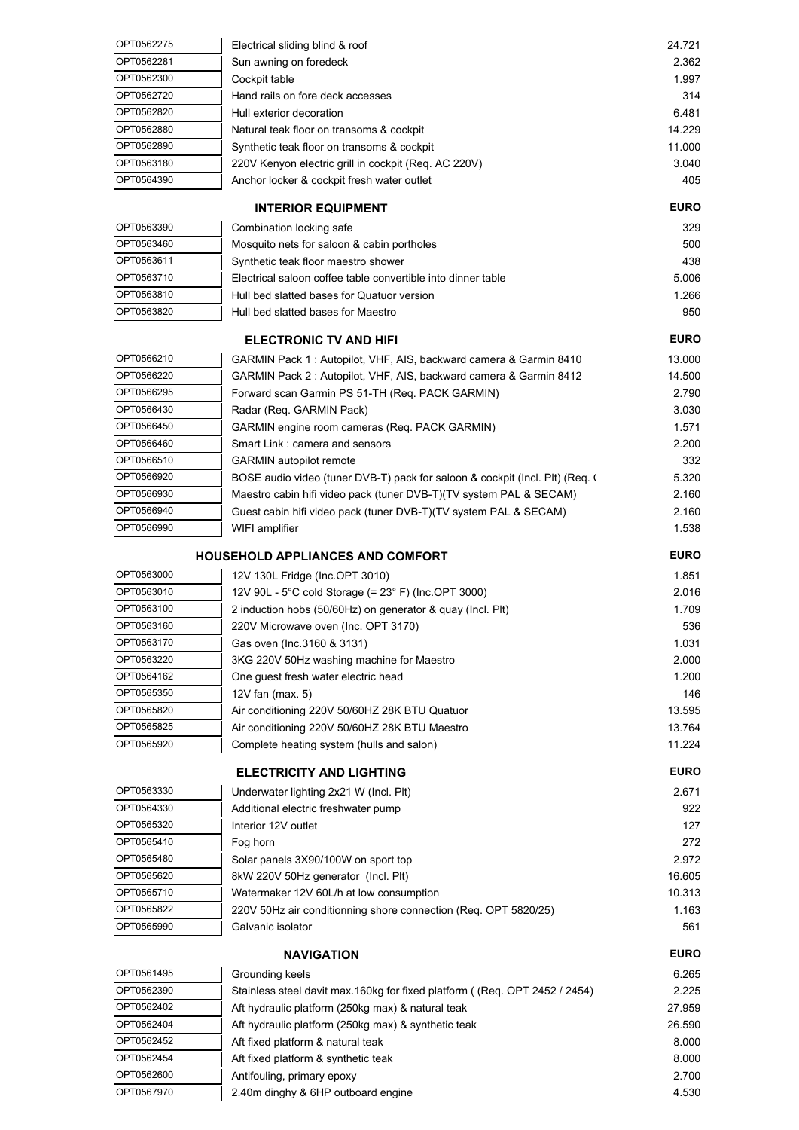| OPT0562275               | Electrical sliding blind & roof                                              | 24.721      |
|--------------------------|------------------------------------------------------------------------------|-------------|
| OPT0562281               | Sun awning on foredeck                                                       | 2.362       |
| OPT0562300               | Cockpit table                                                                | 1.997       |
| OPT0562720               | Hand rails on fore deck accesses                                             | 314         |
| OPT0562820               | Hull exterior decoration                                                     | 6.481       |
| OPT0562880               | Natural teak floor on transoms & cockpit                                     | 14.229      |
| OPT0562890               | Synthetic teak floor on transoms & cockpit                                   | 11.000      |
| OPT0563180               | 220V Kenyon electric grill in cockpit (Req. AC 220V)                         | 3.040       |
| OPT0564390               | Anchor locker & cockpit fresh water outlet                                   | 405         |
|                          |                                                                              | <b>EURO</b> |
|                          | <b>INTERIOR EQUIPMENT</b>                                                    |             |
| OPT0563390               | Combination locking safe                                                     | 329         |
| OPT0563460               | Mosquito nets for saloon & cabin portholes                                   | 500         |
| OPT0563611               | Synthetic teak floor maestro shower                                          | 438         |
| OPT0563710               | Electrical saloon coffee table convertible into dinner table                 | 5.006       |
| OPT0563810<br>OPT0563820 | Hull bed slatted bases for Quatuor version                                   | 1.266       |
|                          | Hull bed slatted bases for Maestro                                           | 950         |
|                          | <b>ELECTRONIC TV AND HIFI</b>                                                | <b>EURO</b> |
| OPT0566210               | GARMIN Pack 1: Autopilot, VHF, AIS, backward camera & Garmin 8410            | 13.000      |
| OPT0566220               | GARMIN Pack 2: Autopilot, VHF, AIS, backward camera & Garmin 8412            | 14.500      |
| OPT0566295               | Forward scan Garmin PS 51-TH (Req. PACK GARMIN)                              | 2.790       |
| OPT0566430               | Radar (Req. GARMIN Pack)                                                     | 3.030       |
| OPT0566450               | <b>GARMIN engine room cameras (Reg. PACK GARMIN)</b>                         | 1.571       |
| OPT0566460               | Smart Link: camera and sensors                                               | 2.200       |
| OPT0566510               | <b>GARMIN</b> autopilot remote                                               | 332         |
| OPT0566920               | BOSE audio video (tuner DVB-T) pack for saloon & cockpit (Incl. Plt) (Req. ( | 5.320       |
| OPT0566930               | Maestro cabin hifi video pack (tuner DVB-T)(TV system PAL & SECAM)           | 2.160       |
| OPT0566940               | Guest cabin hifi video pack (tuner DVB-T)(TV system PAL & SECAM)             | 2.160       |
| OPT0566990               | WIFI amplifier                                                               | 1.538       |
|                          |                                                                              |             |
|                          | <b>HOUSEHOLD APPLIANCES AND COMFORT</b>                                      | <b>EURO</b> |
| OPT0563000               | 12V 130L Fridge (Inc.OPT 3010)                                               | 1.851       |
| OPT0563010               | 12V 90L - 5°C cold Storage (= 23° F) (Inc.OPT 3000)                          | 2.016       |
| OPT0563100               | 2 induction hobs (50/60Hz) on generator & quay (Incl. Plt)                   | 1.709       |
| OPT0563160               | 220V Microwave oven (Inc. OPT 3170)                                          | 536         |
| OPT0563170               | Gas oven (Inc.3160 & 3131)                                                   | 1.031       |
| OPT0563220               | 3KG 220V 50Hz washing machine for Maestro                                    | 2.000       |
| OPT0564162               | One guest fresh water electric head                                          | 1.200       |
| OPT0565350               | 12V fan $(max. 5)$                                                           | 146         |
| OPT0565820               | Air conditioning 220V 50/60HZ 28K BTU Quatuor                                | 13.595      |
| OPT0565825               | Air conditioning 220V 50/60HZ 28K BTU Maestro                                | 13.764      |
| OPT0565920               | Complete heating system (hulls and salon)                                    | 11.224      |
|                          | <b>ELECTRICITY AND LIGHTING</b>                                              | <b>EURO</b> |
| OPT0563330               | Underwater lighting 2x21 W (Incl. Plt)                                       | 2.671       |
| OPT0564330               | Additional electric freshwater pump                                          | 922         |
| OPT0565320               | Interior 12V outlet                                                          | 127         |
| OPT0565410               | Fog horn                                                                     | 272         |
| OPT0565480               | Solar panels 3X90/100W on sport top                                          | 2.972       |
| OPT0565620               | 8kW 220V 50Hz generator (Incl. Plt)                                          | 16.605      |
| OPT0565710               | Watermaker 12V 60L/h at low consumption                                      | 10.313      |
| OPT0565822               | 220V 50Hz air conditionning shore connection (Req. OPT 5820/25)              | 1.163       |
| OPT0565990               | Galvanic isolator                                                            | 561         |
|                          |                                                                              |             |
|                          | <b>NAVIGATION</b>                                                            | <b>EURO</b> |
| OPT0561495               | Grounding keels                                                              | 6.265       |
| OPT0562390               | Stainless steel davit max.160kg for fixed platform ((Req. OPT 2452 / 2454)   | 2.225       |
| OPT0562402               | Aft hydraulic platform (250kg max) & natural teak                            | 27.959      |
| OPT0562404               | Aft hydraulic platform (250kg max) & synthetic teak                          | 26.590      |
| OPT0562452               | Aft fixed platform & natural teak                                            | 8.000       |
| OPT0562454               | Aft fixed platform & synthetic teak                                          | 8.000       |
| OPT0562600               | Antifouling, primary epoxy                                                   | 2.700       |
| OPT0567970               | 2.40m dinghy & 6HP outboard engine                                           | 4.530       |